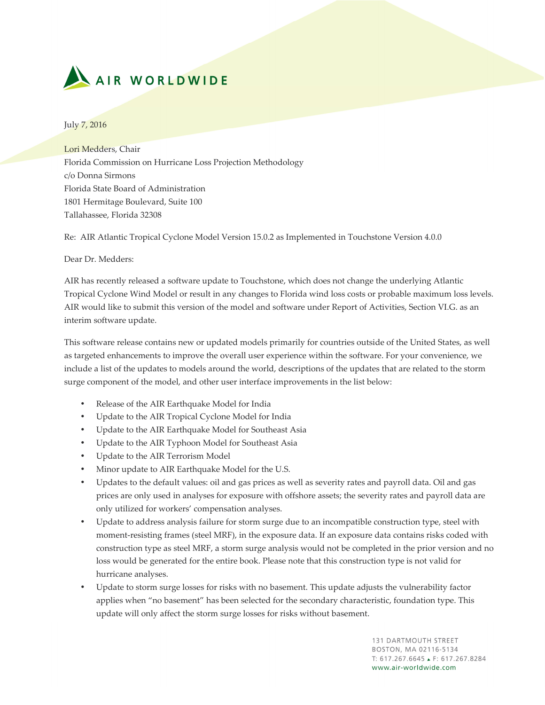

July 7, 2016

Lori Medders, Chair Florida Commission on Hurricane Loss Projection Methodology c/o Donna Sirmons Florida State Board of Administration 1801 Hermitage Boulevard, Suite 100 Tallahassee, Florida 32308

Re: AIR Atlantic Tropical Cyclone Model Version 15.0.2 as Implemented in Touchstone Version 4.0.0

Dear Dr. Medders:

AIR has recently released a software update to Touchstone, which does not change the underlying Atlantic Tropical Cyclone Wind Model or result in any changes to Florida wind loss costs or probable maximum loss levels. AIR would like to submit this version of the model and software under Report of Activities, Section VI.G. as an interim software update.

This software release contains new or updated models primarily for countries outside of the United States, as well as targeted enhancements to improve the overall user experience within the software. For your convenience, we include a list of the updates to models around the world, descriptions of the updates that are related to the storm surge component of the model, and other user interface improvements in the list below:

- Release of the AIR Earthquake Model for India
- Update to the AIR Tropical Cyclone Model for India
- Update to the AIR Earthquake Model for Southeast Asia
- Update to the AIR Typhoon Model for Southeast Asia
- Update to the AIR Terrorism Model
- Minor update to AIR Earthquake Model for the U.S.
- Updates to the default values: oil and gas prices as well as severity rates and payroll data. Oil and gas prices are only used in analyses for exposure with offshore assets; the severity rates and payroll data are only utilized for workers' compensation analyses.
- Update to address analysis failure for storm surge due to an incompatible construction type, steel with moment-resisting frames (steel MRF), in the exposure data. If an exposure data contains risks coded with construction type as steel MRF, a storm surge analysis would not be completed in the prior version and no loss would be generated for the entire book. Please note that this construction type is not valid for hurricane analyses.
- Update to storm surge losses for risks with no basement. This update adjusts the vulnerability factor applies when "no basement" has been selected for the secondary characteristic, foundation type. This update will only affect the storm surge losses for risks without basement.

**131 DARTMOUTH STREET** BOSTON, MA 02116-5134  $T: 617.267.6645 \rightarrow F: 617.267.8284$ www.air-worldwide.com